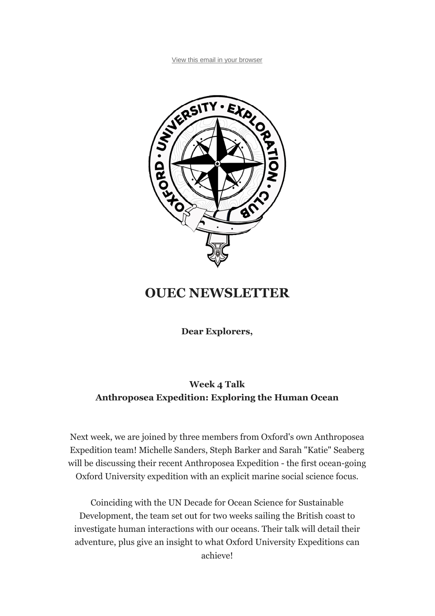View this email in your browser



## **OUEC NEWSLETTER**

**Dear Explorers,**

## **Week 4 Talk Anthroposea Expedition: Exploring the Human Ocean**

Next week, we are joined by three members from Oxford's own Anthroposea Expedition team! Michelle Sanders, Steph Barker and Sarah "Katie" Seaberg will be discussing their recent Anthroposea Expedition - the first ocean-going Oxford University expedition with an explicit marine social science focus.

Coinciding with the UN Decade for Ocean Science for Sustainable Development, the team set out for two weeks sailing the British coast to investigate human interactions with our oceans. Their talk will detail their adventure, plus give an insight to what Oxford University Expeditions can achieve!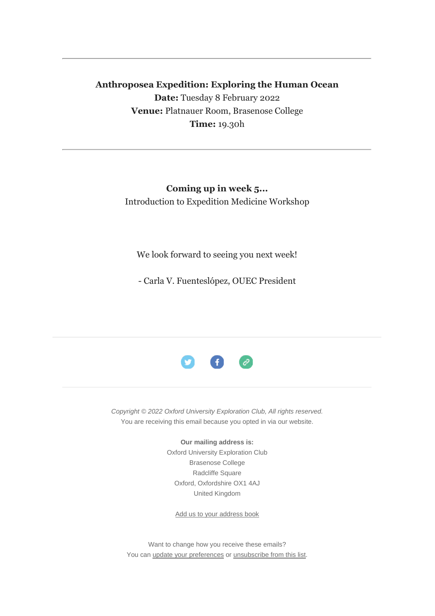## **Anthroposea Expedition: Exploring the Human Ocean Date:** Tuesday 8 February 2022 **Venue:** Platnauer Room, Brasenose College **Time:** 19.30h

## **Coming up in week 5...** Introduction to Expedition Medicine Workshop

We look forward to seeing you next week!

- Carla V. Fuenteslópez, OUEC President



*Copyright © 2022 Oxford University Exploration Club, All rights reserved.* You are receiving this email because you opted in via our website.

**Our mailing address is:**

Oxford University Exploration Club Brasenose College Radcliffe Square Oxford, Oxfordshire OX1 4AJ United Kingdom

Add us to your address book

Want to change how you receive these emails? You can update your preferences or unsubscribe from this list.